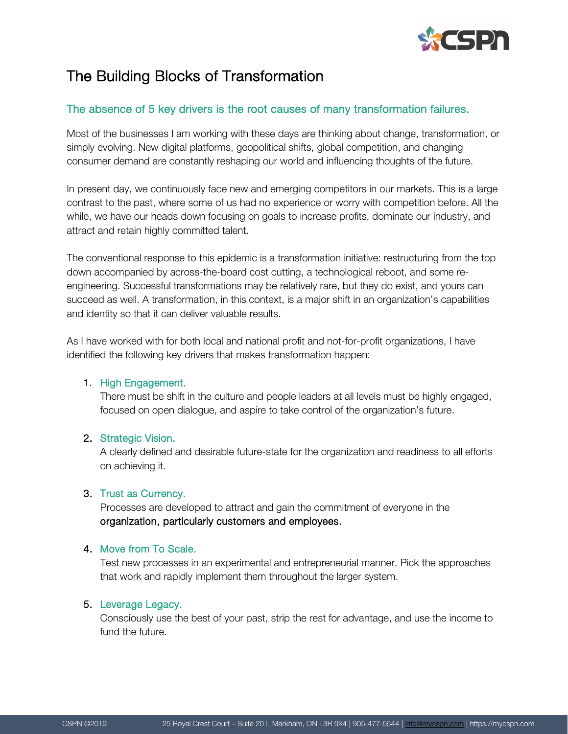

# The Building Blocks of Transformation

## The absence of 5 key drivers is the root causes of many transformation failures.

Most of the businesses I am working with these days are thinking about change, transformation, or simply evolving. New digital platforms, geopolitical shifts, global competition, and changing consumer demand are constantly reshaping our world and influencing thoughts of the future.

In present day, we continuously face new and emerging competitors in our markets. This is a large contrast to the past, where some of us had no experience or worry with competition before. All the while, we have our heads down focusing on goals to increase profits, dominate our industry, and attract and retain highly committed talent.

The conventional response to this epidemic is a transformation initiative: restructuring from the top down accompanied by across-the-board cost cutting, a technological reboot, and some reengineering. Successful transformations may be relatively rare, but they do exist, and yours can succeed as well. A transformation, in this context, is a major shift in an organization's capabilities and identity so that it can deliver valuable results.

As I have worked with for both local and national profit and not-for-profit organizations, I have identified the following key drivers that makes transformation happen:

### 1. High Engagement.

There must be shift in the culture and people leaders at all levels must be highly engaged, focused on open dialogue, and aspire to take control of the organization's future.

### 2. Strategic Vision.

A clearly defined and desirable future-state for the organization and readiness to all efforts on achieving it.

### 3. Trust as Currency.

Processes are developed to attract and gain the commitment of everyone in the organization, particularly customers and employees.

### 4. Move from To Scale.

Test new processes in an experimental and entrepreneurial manner. Pick the approaches that work and rapidly implement them throughout the larger system.

### 5. Leverage Legacy.

Consciously use the best of your past, strip the rest for advantage, and use the income to fund the future.